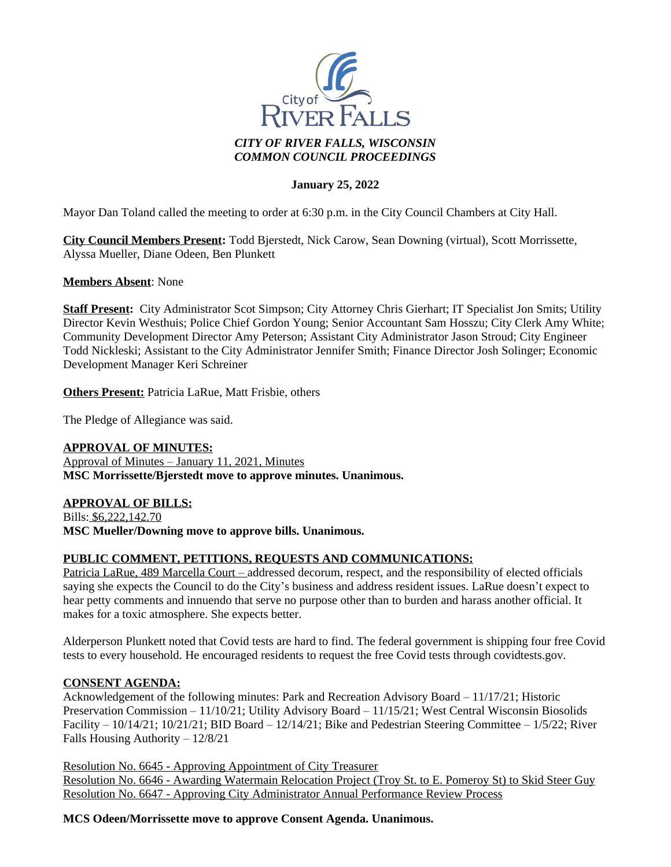

## **January 25, 2022**

Mayor Dan Toland called the meeting to order at 6:30 p.m. in the City Council Chambers at City Hall.

**City Council Members Present:** Todd Bjerstedt, Nick Carow, Sean Downing (virtual), Scott Morrissette, Alyssa Mueller, Diane Odeen, Ben Plunkett

### **Members Absent**: None

**Staff Present:** City Administrator Scot Simpson; City Attorney Chris Gierhart; IT Specialist Jon Smits; Utility Director Kevin Westhuis; Police Chief Gordon Young; Senior Accountant Sam Hosszu; City Clerk Amy White; Community Development Director Amy Peterson; Assistant City Administrator Jason Stroud; City Engineer Todd Nickleski; Assistant to the City Administrator Jennifer Smith; Finance Director Josh Solinger; Economic Development Manager Keri Schreiner

**Others Present:** Patricia LaRue, Matt Frisbie, others

The Pledge of Allegiance was said.

### **APPROVAL OF MINUTES:**

Approval of Minutes – January 11, 2021, Minutes **MSC Morrissette/Bjerstedt move to approve minutes. Unanimous.**

### **APPROVAL OF BILLS:**

Bills: \$6,222,142.70 **MSC Mueller/Downing move to approve bills. Unanimous.**

### **PUBLIC COMMENT, PETITIONS, REQUESTS AND COMMUNICATIONS:**

Patricia LaRue, 489 Marcella Court – addressed decorum, respect, and the responsibility of elected officials saying she expects the Council to do the City's business and address resident issues. LaRue doesn't expect to hear petty comments and innuendo that serve no purpose other than to burden and harass another official. It makes for a toxic atmosphere. She expects better.

Alderperson Plunkett noted that Covid tests are hard to find. The federal government is shipping four free Covid tests to every household. He encouraged residents to request the free Covid tests through covidtests.gov.

### **CONSENT AGENDA:**

Acknowledgement of the following minutes: Park and Recreation Advisory Board – 11/17/21; Historic Preservation Commission – 11/10/21; Utility Advisory Board – 11/15/21; West Central Wisconsin Biosolids Facility –  $10/14/21$ ;  $10/21/21$ ; BID Board –  $12/14/21$ ; Bike and Pedestrian Steering Committee –  $1/5/22$ ; River Falls Housing Authority – 12/8/21

Resolution No. 6645 - Approving Appointment of City Treasurer Resolution No. 6646 - Awarding Watermain Relocation Project (Troy St. to E. Pomeroy St) to Skid Steer Guy Resolution No. 6647 - Approving City Administrator Annual Performance Review Process

**MCS Odeen/Morrissette move to approve Consent Agenda. Unanimous.**